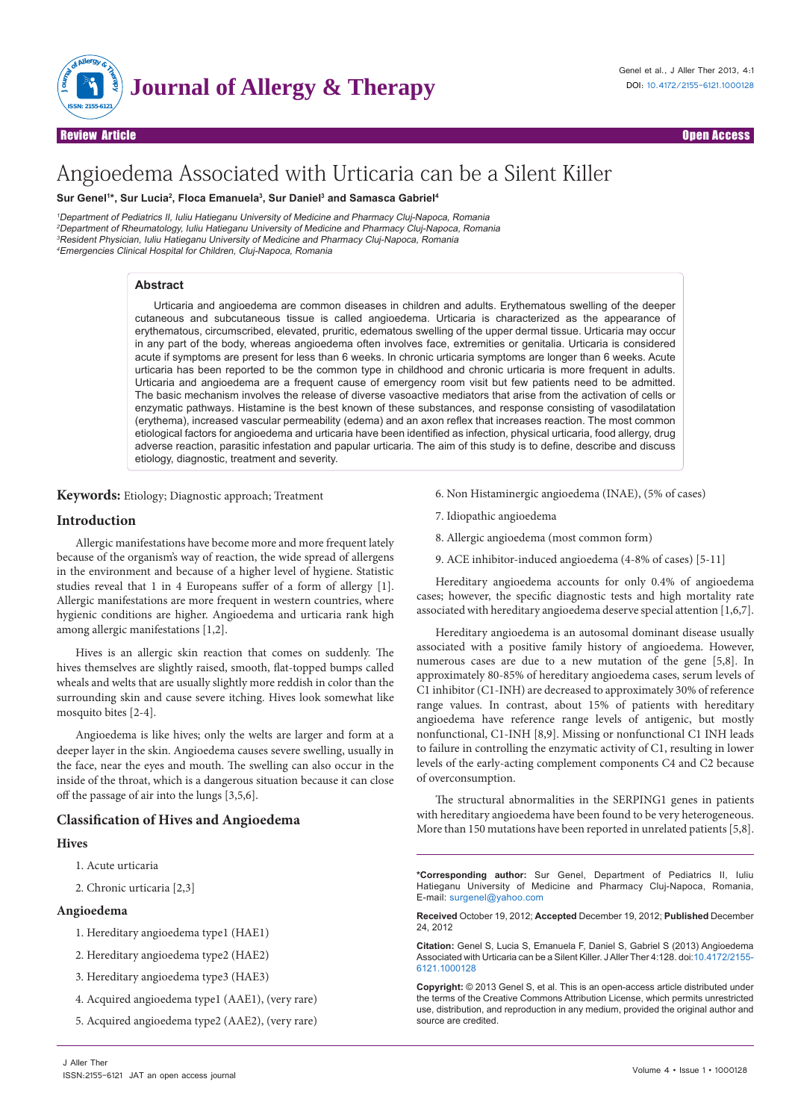

Review Article Open Access

# Angioedema Associated with Urticaria can be a Silent Killer

## **Sur Genel1 \*, Sur Lucia2 , Floca Emanuela3 , Sur Daniel3 and Samasca Gabriel4**

Department of Pediatrics II, Iuliu Hatieganu University of Medicine and Pharmacy Cluj-Napoca, Romania Department of Rheumatology, Iuliu Hatieganu University of Medicine and Pharmacy Cluj-Napoca, Romania <sup>3</sup>Resident Physician, Iuliu Hatieganu University of Medicine and Pharmacy Cluj-Napoca, Romania Emergencies Clinical Hospital for Children, Cluj-Napoca, Romania

## **Abstract**

Urticaria and angioedema are common diseases in children and adults. Erythematous swelling of the deeper cutaneous and subcutaneous tissue is called angioedema. Urticaria is characterized as the appearance of erythematous, circumscribed, elevated, pruritic, edematous swelling of the upper dermal tissue. Urticaria may occur in any part of the body, whereas angioedema often involves face, extremities or genitalia. Urticaria is considered acute if symptoms are present for less than 6 weeks. In chronic urticaria symptoms are longer than 6 weeks. Acute urticaria has been reported to be the common type in childhood and chronic urticaria is more frequent in adults. Urticaria and angioedema are a frequent cause of emergency room visit but few patients need to be admitted. The basic mechanism involves the release of diverse vasoactive mediators that arise from the activation of cells or enzymatic pathways. Histamine is the best known of these substances, and response consisting of vasodilatation (erythema), increased vascular permeability (edema) and an axon reflex that increases reaction. The most common etiological factors for angioedema and urticaria have been identified as infection, physical urticaria, food allergy, drug adverse reaction, parasitic infestation and papular urticaria. The aim of this study is to define, describe and discuss etiology, diagnostic, treatment and severity.

**Keywords:** Etiology; Diagnostic approach; Treatment

# **Introduction**

Allergic manifestations have become more and more frequent lately because of the organism's way of reaction, the wide spread of allergens in the environment and because of a higher level of hygiene. Statistic studies reveal that 1 in 4 Europeans suffer of a form of allergy [1]. Allergic manifestations are more frequent in western countries, where hygienic conditions are higher. Angioedema and urticaria rank high among allergic manifestations [1,2].

Hives is an allergic skin reaction that comes on suddenly. The hives themselves are slightly raised, smooth, flat-topped bumps called wheals and welts that are usually slightly more reddish in color than the surrounding skin and cause severe itching. Hives look somewhat like mosquito bites [2-4].

Angioedema is like hives; only the welts are larger and form at a deeper layer in the skin. Angioedema causes severe swelling, usually in the face, near the eyes and mouth. The swelling can also occur in the inside of the throat, which is a dangerous situation because it can close off the passage of air into the lungs [3,5,6].

## **Classification of Hives and Angioedema**

# **Hives**

- 1. Acute urticaria
- 2. Chronic urticaria [2,3]

# **Angioedema**

- 1. Hereditary angioedema type1 (HAE1)
- 2. Hereditary angioedema type2 (HAE2)
- 3. Hereditary angioedema type3 (HAE3)
- 4. Acquired angioedema type1 (AAE1), (very rare)
- 5. Acquired angioedema type2 (AAE2), (very rare)
- 6. Non Histaminergic angioedema (INAE), (5% of cases)
- 7. Idiopathic angioedema
- 8. Allergic angioedema (most common form)
- 9. ACE inhibitor-induced angioedema (4-8% of cases) [5-11]

Hereditary angioedema accounts for only 0.4% of angioedema cases; however, the specific diagnostic tests and high mortality rate associated with hereditary angioedema deserve special attention [1,6,7].

Hereditary angioedema is an autosomal dominant disease usually associated with a positive family history of angioedema. However, numerous cases are due to a new mutation of the gene [5,8]. In approximately 80-85% of hereditary angioedema cases, serum levels of C1 inhibitor (C1-INH) are decreased to approximately 30% of reference range values. In contrast, about 15% of patients with hereditary angioedema have reference range levels of antigenic, but mostly nonfunctional, C1-INH [8,9]. Missing or nonfunctional C1 INH leads to failure in controlling the enzymatic activity of C1, resulting in lower levels of the early-acting complement components C4 and C2 because of overconsumption.

The structural abnormalities in the SERPING1 genes in patients with hereditary angioedema have been found to be very heterogeneous. More than 150 mutations have been reported in unrelated patients [5,8].

**\*Corresponding author:** Sur Genel, Department of Pediatrics II, Iuliu Hatieganu University of Medicine and Pharmacy Cluj-Napoca, Romania, E-mail: surgenel@yahoo.com

**Received** October 19, 2012; **Accepted** December 19, 2012; **Published** December 24, 2012

**Citation:** Genel S, Lucia S, Emanuela F, Daniel S, Gabriel S (2013) Angioedema Associated with Urticaria can be a Silent Killer. J Aller Ther 4:128. doi:10.4172/2155- 6121.1000128

**Copyright:** © 2013 Genel S, et al. This is an open-access article distributed under the terms of the Creative Commons Attribution License, which permits unrestricted use, distribution, and reproduction in any medium, provided the original author and source are credited.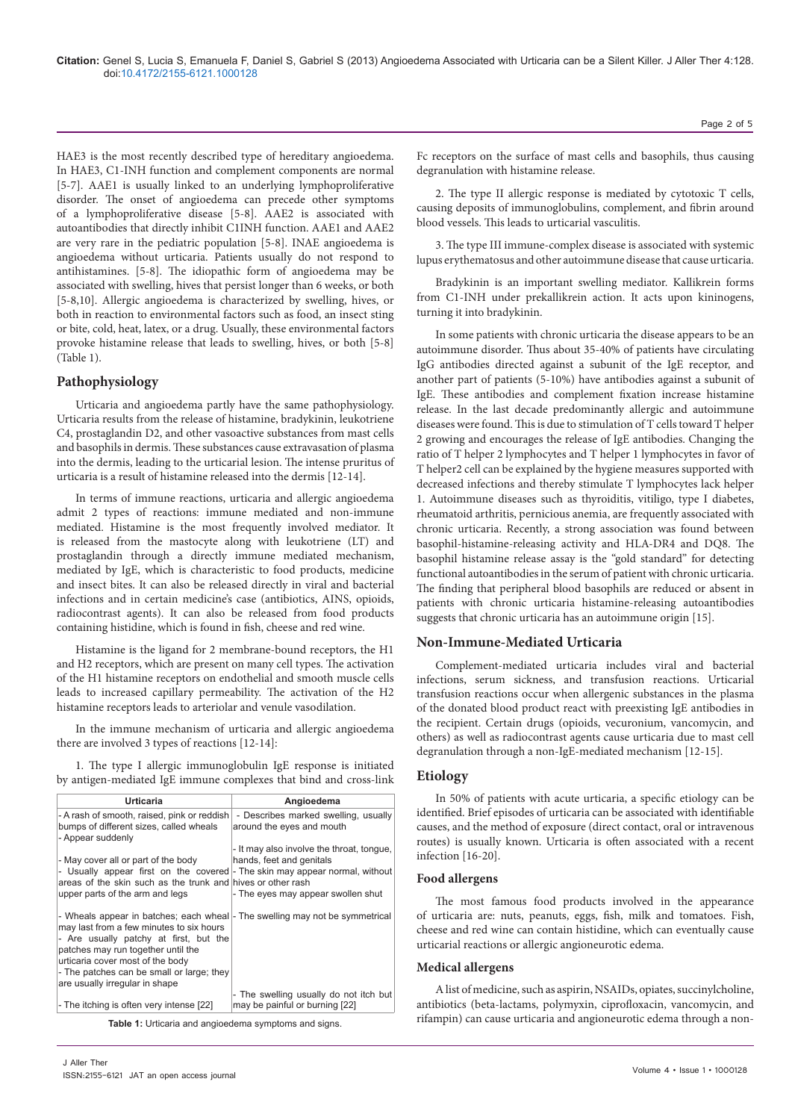HAE3 is the most recently described type of hereditary angioedema. In HAE3, C1-INH function and complement components are normal [5-7]. AAE1 is usually linked to an underlying lymphoproliferative disorder. The onset of angioedema can precede other symptoms of a lymphoproliferative disease [5-8]. AAE2 is associated with autoantibodies that directly inhibit C1INH function. AAE1 and AAE2 are very rare in the pediatric population [5-8]. INAE angioedema is angioedema without urticaria. Patients usually do not respond to antihistamines. [5-8]. The idiopathic form of angioedema may be associated with swelling, hives that persist longer than 6 weeks, or both [5-8,10]. Allergic angioedema is characterized by swelling, hives, or both in reaction to environmental factors such as food, an insect sting or bite, cold, heat, latex, or a drug. Usually, these environmental factors provoke histamine release that leads to swelling, hives, or both [5-8] (Table 1).

## **Pathophysiology**

Urticaria and angioedema partly have the same pathophysiology. Urticaria results from the release of histamine, bradykinin, leukotriene C4, prostaglandin D2, and other vasoactive substances from mast cells and basophils in dermis. These substances cause extravasation of plasma into the dermis, leading to the urticarial lesion. The intense pruritus of urticaria is a result of histamine released into the dermis [12-14].

In terms of immune reactions, urticaria and allergic angioedema admit 2 types of reactions: immune mediated and non-immune mediated. Histamine is the most frequently involved mediator. It is released from the mastocyte along with leukotriene (LT) and prostaglandin through a directly immune mediated mechanism, mediated by IgE, which is characteristic to food products, medicine and insect bites. It can also be released directly in viral and bacterial infections and in certain medicine's case (antibiotics, AINS, opioids, radiocontrast agents). It can also be released from food products containing histidine, which is found in fish, cheese and red wine.

Histamine is the ligand for 2 membrane-bound receptors, the H1 and H2 receptors, which are present on many cell types. The activation of the H1 histamine receptors on endothelial and smooth muscle cells leads to increased capillary permeability. The activation of the H2 histamine receptors leads to arteriolar and venule vasodilation.

In the immune mechanism of urticaria and allergic angioedema there are involved 3 types of reactions [12-14]:

1. The type I allergic immunoglobulin IgE response is initiated by antigen-mediated IgE immune complexes that bind and cross-link

| Urticaria                                                                                                                                                                                                                                                                                                                   | Angioedema                                                                                                  |
|-----------------------------------------------------------------------------------------------------------------------------------------------------------------------------------------------------------------------------------------------------------------------------------------------------------------------------|-------------------------------------------------------------------------------------------------------------|
| - A rash of smooth, raised, pink or reddish<br>bumps of different sizes, called wheals<br>- Appear suddenly                                                                                                                                                                                                                 | - Describes marked swelling, usually<br>around the eyes and mouth                                           |
| - May cover all or part of the body<br>- Usually appear first on the covered - The skin may appear normal, without<br>areas of the skin such as the trunk and hives or other rash<br>upper parts of the arm and legs                                                                                                        | - It may also involve the throat, tonque,<br>hands, feet and genitals<br>- The eyes may appear swollen shut |
| - Wheals appear in batches; each wheal - The swelling may not be symmetrical<br>may last from a few minutes to six hours<br>- Are usually patchy at first, but the<br>patches may run together until the<br>urticaria cover most of the body<br>- The patches can be small or large; they<br>are usually irregular in shape |                                                                                                             |
| - The itching is often very intense [22]                                                                                                                                                                                                                                                                                    | - The swelling usually do not itch but<br>may be painful or burning [22]                                    |

**Table 1:** Urticaria and angioedema symptoms and signs.

Fc receptors on the surface of mast cells and basophils, thus causing degranulation with histamine release.

2. The type II allergic response is mediated by cytotoxic T cells, causing deposits of immunoglobulins, complement, and fibrin around blood vessels. This leads to urticarial vasculitis.

3. The type III immune-complex disease is associated with systemic lupus erythematosus and other autoimmune disease that cause urticaria.

Bradykinin is an important swelling mediator. Kallikrein forms from C1-INH under prekallikrein action. It acts upon kininogens, turning it into bradykinin.

In some patients with chronic urticaria the disease appears to be an autoimmune disorder. Thus about 35-40% of patients have circulating IgG antibodies directed against a subunit of the IgE receptor, and another part of patients (5-10%) have antibodies against a subunit of IgE. These antibodies and complement fixation increase histamine release. In the last decade predominantly allergic and autoimmune diseases were found. This is due to stimulation of T cells toward T helper 2 growing and encourages the release of IgE antibodies. Changing the ratio of T helper 2 lymphocytes and T helper 1 lymphocytes in favor of T helper2 cell can be explained by the hygiene measures supported with decreased infections and thereby stimulate T lymphocytes lack helper 1. Autoimmune diseases such as thyroiditis, vitiligo, type I diabetes, rheumatoid arthritis, pernicious anemia, are frequently associated with chronic urticaria. Recently, a strong association was found between basophil-histamine-releasing activity and HLA-DR4 and DQ8. The basophil histamine release assay is the "gold standard" for detecting functional autoantibodies in the serum of patient with chronic urticaria. The finding that peripheral blood basophils are reduced or absent in patients with chronic urticaria histamine-releasing autoantibodies suggests that chronic urticaria has an autoimmune origin [15].

## **Non-Immune-Mediated Urticaria**

Complement-mediated urticaria includes viral and bacterial infections, serum sickness, and transfusion reactions. Urticarial transfusion reactions occur when allergenic substances in the plasma of the donated blood product react with preexisting IgE antibodies in the recipient. Certain drugs (opioids, vecuronium, vancomycin, and others) as well as radiocontrast agents cause urticaria due to mast cell degranulation through a non-IgE-mediated mechanism [12-15].

## **Etiology**

In 50% of patients with acute urticaria, a specific etiology can be identified. Brief episodes of urticaria can be associated with identifiable causes, and the method of exposure (direct contact, oral or intravenous routes) is usually known. Urticaria is often associated with a recent infection [16-20].

#### **Food allergens**

The most famous food products involved in the appearance of urticaria are: nuts, peanuts, eggs, fish, milk and tomatoes. Fish, cheese and red wine can contain histidine, which can eventually cause urticarial reactions or allergic angioneurotic edema.

#### **Medical allergens**

A list of medicine, such as aspirin, NSAIDs, opiates, succinylcholine, antibiotics (beta-lactams, polymyxin, ciprofloxacin, vancomycin, and rifampin) can cause urticaria and angioneurotic edema through a non-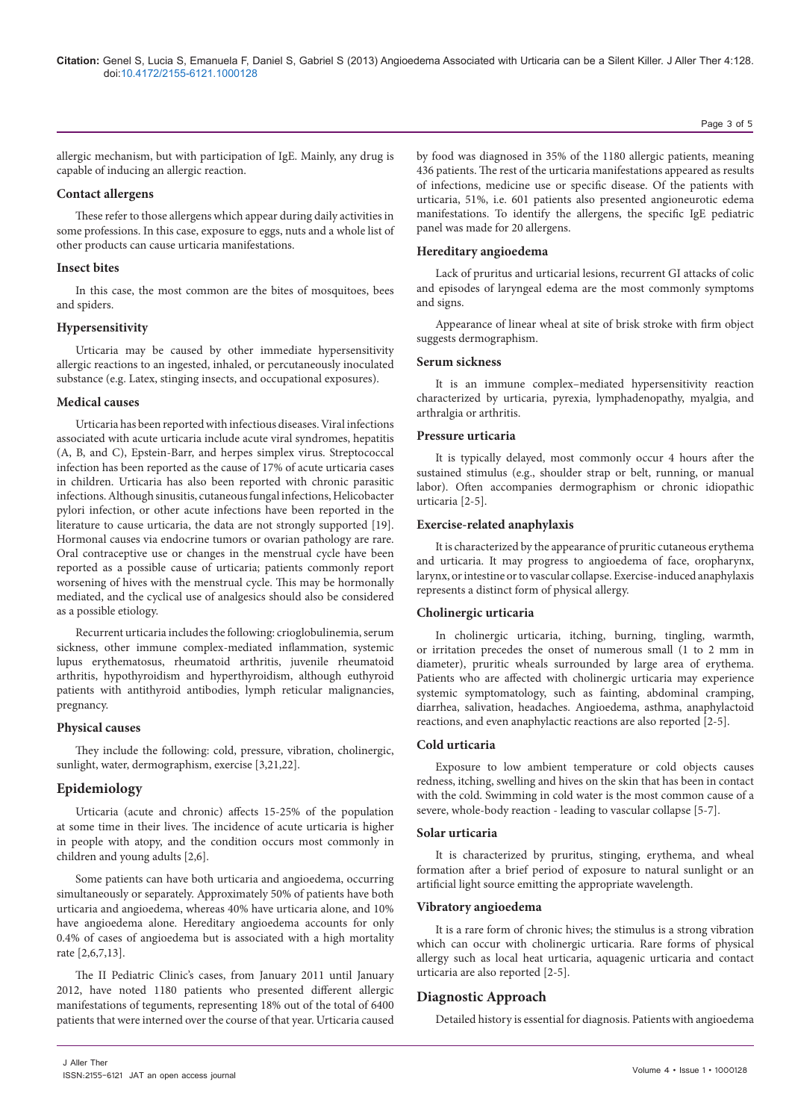Page 3 of 5

allergic mechanism, but with participation of IgE. Mainly, any drug is capable of inducing an allergic reaction.

## **Contact allergens**

These refer to those allergens which appear during daily activities in some professions. In this case, exposure to eggs, nuts and a whole list of other products can cause urticaria manifestations.

## **Insect bites**

In this case, the most common are the bites of mosquitoes, bees and spiders.

## **Hypersensitivity**

Urticaria may be caused by other immediate hypersensitivity allergic reactions to an ingested, inhaled, or percutaneously inoculated substance (e.g. Latex, stinging insects, and occupational exposures).

## **Medical causes**

Urticaria has been reported with infectious diseases. Viral infections associated with acute urticaria include acute viral syndromes, hepatitis (A, B, and C), Epstein-Barr, and herpes simplex virus. Streptococcal infection has been reported as the cause of 17% of acute urticaria cases in children. Urticaria has also been reported with chronic parasitic infections. Although sinusitis, cutaneous fungal infections, Helicobacter pylori infection, or other acute infections have been reported in the literature to cause urticaria, the data are not strongly supported [19]. Hormonal causes via endocrine tumors or ovarian pathology are rare. Oral contraceptive use or changes in the menstrual cycle have been reported as a possible cause of urticaria; patients commonly report worsening of hives with the menstrual cycle. This may be hormonally mediated, and the cyclical use of analgesics should also be considered as a possible etiology.

Recurrent urticaria includes the following: crioglobulinemia, serum sickness, other immune complex-mediated inflammation, systemic lupus erythematosus, rheumatoid arthritis, juvenile rheumatoid arthritis, hypothyroidism and hyperthyroidism, although euthyroid patients with antithyroid antibodies, lymph reticular malignancies, pregnancy.

## **Physical causes**

They include the following: cold, pressure, vibration, cholinergic, sunlight, water, dermographism, exercise [3,21,22].

# **Epidemiology**

Urticaria (acute and chronic) affects 15-25% of the population at some time in their lives. The incidence of acute urticaria is higher in people with atopy, and the condition occurs most commonly in children and young adults [2,6].

Some patients can have both urticaria and angioedema, occurring simultaneously or separately. Approximately 50% of patients have both urticaria and angioedema, whereas 40% have urticaria alone, and 10% have angioedema alone. Hereditary angioedema accounts for only 0.4% of cases of angioedema but is associated with a high mortality rate [2,6,7,13].

The II Pediatric Clinic's cases, from January 2011 until January 2012, have noted 1180 patients who presented different allergic manifestations of teguments, representing 18% out of the total of 6400 patients that were interned over the course of that year. Urticaria caused by food was diagnosed in 35% of the 1180 allergic patients, meaning 436 patients. The rest of the urticaria manifestations appeared as results of infections, medicine use or specific disease. Of the patients with urticaria, 51%, i.e. 601 patients also presented angioneurotic edema manifestations. To identify the allergens, the specific IgE pediatric panel was made for 20 allergens.

## **Hereditary angioedema**

Lack of pruritus and urticarial lesions, recurrent GI attacks of colic and episodes of laryngeal edema are the most commonly symptoms and signs.

Appearance of linear wheal at site of brisk stroke with firm object suggests dermographism.

## **Serum sickness**

It is an immune complex–mediated hypersensitivity reaction characterized by urticaria, pyrexia, lymphadenopathy, myalgia, and arthralgia or arthritis.

## **Pressure urticaria**

It is typically delayed, most commonly occur 4 hours after the sustained stimulus (e.g., shoulder strap or belt, running, or manual labor). Often accompanies dermographism or chronic idiopathic urticaria [2-5].

# **Exercise-related anaphylaxis**

It is characterized by the appearance of pruritic cutaneous erythema and urticaria. It may progress to angioedema of face, oropharynx, larynx, or intestine or to vascular collapse. Exercise-induced anaphylaxis represents a distinct form of physical allergy.

# **Cholinergic urticaria**

In cholinergic urticaria, itching, burning, tingling, warmth, or irritation precedes the onset of numerous small (1 to 2 mm in diameter), pruritic wheals surrounded by large area of erythema. Patients who are affected with cholinergic urticaria may experience systemic symptomatology, such as fainting, abdominal cramping, diarrhea, salivation, headaches. Angioedema, asthma, anaphylactoid reactions, and even anaphylactic reactions are also reported [2-5].

# **Cold urticaria**

Exposure to low ambient temperature or cold objects causes redness, itching, swelling and hives on the skin that has been in contact with the cold. Swimming in cold water is the most common cause of a severe, whole-body reaction - leading to vascular collapse [5-7].

## **Solar urticaria**

It is characterized by pruritus, stinging, erythema, and wheal formation after a brief period of exposure to natural sunlight or an artificial light source emitting the appropriate wavelength.

## **Vibratory angioedema**

It is a rare form of chronic hives; the stimulus is a strong vibration which can occur with cholinergic urticaria. Rare forms of physical allergy such as local heat urticaria, aquagenic urticaria and contact urticaria are also reported [2-5].

# **Diagnostic Approach**

Detailed history is essential for diagnosis. Patients with angioedema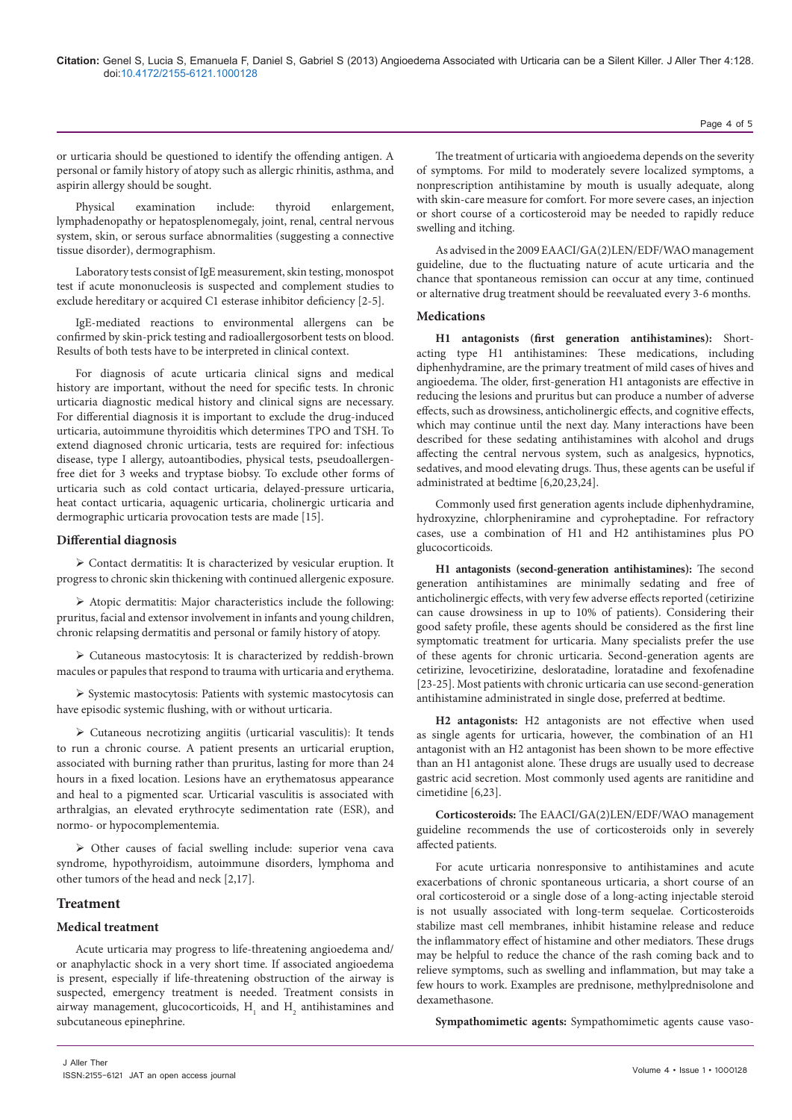or urticaria should be questioned to identify the offending antigen. A personal or family history of atopy such as allergic rhinitis, asthma, and aspirin allergy should be sought.

Physical examination include: thyroid enlargement, lymphadenopathy or hepatosplenomegaly, joint, renal, central nervous system, skin, or serous surface abnormalities (suggesting a connective tissue disorder), dermographism.

Laboratory tests consist of IgE measurement, skin testing, monospot test if acute mononucleosis is suspected and complement studies to exclude hereditary or acquired C1 esterase inhibitor deficiency [2-5].

IgE-mediated reactions to environmental allergens can be confirmed by skin-prick testing and radioallergosorbent tests on blood. Results of both tests have to be interpreted in clinical context.

For diagnosis of acute urticaria clinical signs and medical history are important, without the need for specific tests. In chronic urticaria diagnostic medical history and clinical signs are necessary. For differential diagnosis it is important to exclude the drug-induced urticaria, autoimmune thyroiditis which determines TPO and TSH. To extend diagnosed chronic urticaria, tests are required for: infectious disease, type I allergy, autoantibodies, physical tests, pseudoallergenfree diet for 3 weeks and tryptase biobsy. To exclude other forms of urticaria such as cold contact urticaria, delayed-pressure urticaria, heat contact urticaria, aquagenic urticaria, cholinergic urticaria and dermographic urticaria provocation tests are made [15].

#### **Differential diagnosis**

 Contact dermatitis: It is characterized by vesicular eruption. It progress to chronic skin thickening with continued allergenic exposure.

 Atopic dermatitis: Major characteristics include the following: pruritus, facial and extensor involvement in infants and young children, chronic relapsing dermatitis and personal or family history of atopy.

 Cutaneous mastocytosis: It is characterized by reddish-brown macules or papules that respond to trauma with urticaria and erythema.

 $\triangleright$  Systemic mastocytosis: Patients with systemic mastocytosis can have episodic systemic flushing, with or without urticaria.

 Cutaneous necrotizing angiitis (urticarial vasculitis): It tends to run a chronic course. A patient presents an urticarial eruption, associated with burning rather than pruritus, lasting for more than 24 hours in a fixed location. Lesions have an erythematosus appearance and heal to a pigmented scar. Urticarial vasculitis is associated with arthralgias, an elevated erythrocyte sedimentation rate (ESR), and normo- or hypocomplementemia.

 Other causes of facial swelling include: superior vena cava syndrome, hypothyroidism, autoimmune disorders, lymphoma and other tumors of the head and neck [2,17].

## **Treatment**

## **Medical treatment**

Acute urticaria may progress to life-threatening angioedema and/ or anaphylactic shock in a very short time. If associated angioedema is present, especially if life-threatening obstruction of the airway is suspected, emergency treatment is needed. Treatment consists in airway management, glucocorticoids,  $H_1$  and  $H_2$  antihistamines and subcutaneous epinephrine.

The treatment of urticaria with angioedema depends on the severity of symptoms. For mild to moderately severe localized symptoms, a nonprescription antihistamine by mouth is usually adequate, along with skin-care measure for comfort. For more severe cases, an injection or short course of a corticosteroid may be needed to rapidly reduce swelling and itching.

As advised in the 2009 EAACI/GA(2)LEN/EDF/WAO management guideline, due to the fluctuating nature of acute urticaria and the chance that spontaneous remission can occur at any time, continued or alternative drug treatment should be reevaluated every 3-6 months.

#### **Medications**

**H1 antagonists (first generation antihistamines):** Shortacting type H1 antihistamines: These medications, including diphenhydramine, are the primary treatment of mild cases of hives and angioedema. The older, first-generation H1 antagonists are effective in reducing the lesions and pruritus but can produce a number of adverse effects, such as drowsiness, anticholinergic effects, and cognitive effects, which may continue until the next day. Many interactions have been described for these sedating antihistamines with alcohol and drugs affecting the central nervous system, such as analgesics, hypnotics, sedatives, and mood elevating drugs. Thus, these agents can be useful if administrated at bedtime [6,20,23,24].

Commonly used first generation agents include diphenhydramine, hydroxyzine, chlorpheniramine and cyproheptadine. For refractory cases, use a combination of H1 and H2 antihistamines plus PO glucocorticoids.

**H1 antagonists (second-generation antihistamines):** The second generation antihistamines are minimally sedating and free of anticholinergic effects, with very few adverse effects reported (cetirizine can cause drowsiness in up to 10% of patients). Considering their good safety profile, these agents should be considered as the first line symptomatic treatment for urticaria. Many specialists prefer the use of these agents for chronic urticaria. Second-generation agents are cetirizine, levocetirizine, desloratadine, loratadine and fexofenadine [23-25]. Most patients with chronic urticaria can use second-generation antihistamine administrated in single dose, preferred at bedtime.

**H2 antagonists:** H2 antagonists are not effective when used as single agents for urticaria, however, the combination of an H1 antagonist with an H2 antagonist has been shown to be more effective than an H1 antagonist alone. These drugs are usually used to decrease gastric acid secretion. Most commonly used agents are ranitidine and cimetidine [6,23].

**Corticosteroids:** The EAACI/GA(2)LEN/EDF/WAO management guideline recommends the use of corticosteroids only in severely affected patients.

For acute urticaria nonresponsive to antihistamines and acute exacerbations of chronic spontaneous urticaria, a short course of an oral corticosteroid or a single dose of a long-acting injectable steroid is not usually associated with long-term sequelae. Corticosteroids stabilize mast cell membranes, inhibit histamine release and reduce the inflammatory effect of histamine and other mediators. These drugs may be helpful to reduce the chance of the rash coming back and to relieve symptoms, such as swelling and inflammation, but may take a few hours to work. Examples are prednisone, methylprednisolone and dexamethasone.

**Sympathomimetic agents:** Sympathomimetic agents cause vaso-